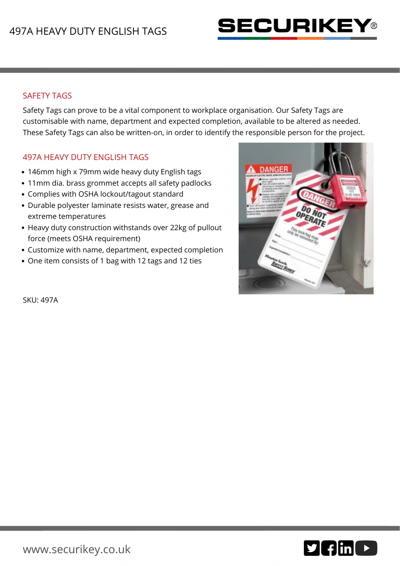

## SAFETY TAGS

Safety Tags can prove to be a vital component to workplace organisation. Our Safety Tags are customisable with name, department and expected completion, available to be altered as needed. These Safety Tags can also be written-on, in order to identify the responsible person for the project.

## 497A HEAVY DUTY ENGLISH TAGS

- 146mm high x 79mm wide heavy duty English tags
- 11mm dia. brass grommet accepts all safety padlocks
- Complies with OSHA lockout/tagout standard
- Durable polyester laminate resists water, grease and extreme temperatures
- Heavy duty construction withstands over 22kg of pullout force (meets OSHA requirement)
- Customize with name, department, expected completion
- One item consists of 1 bag with 12 tags and 12 ties



SKU: 497A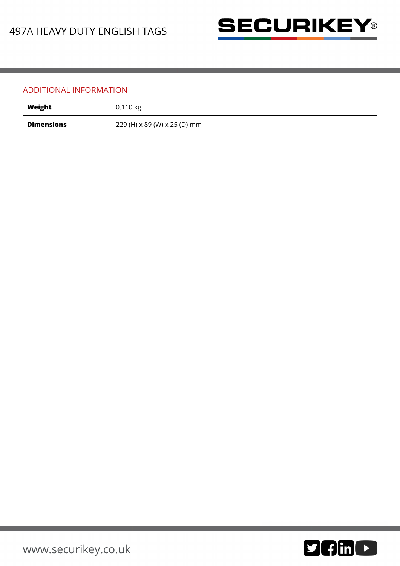

## ADDITIONAL INFORMATION

| Weight            | 0.110 kg                     |
|-------------------|------------------------------|
| <b>Dimensions</b> | 229 (H) x 89 (W) x 25 (D) mm |

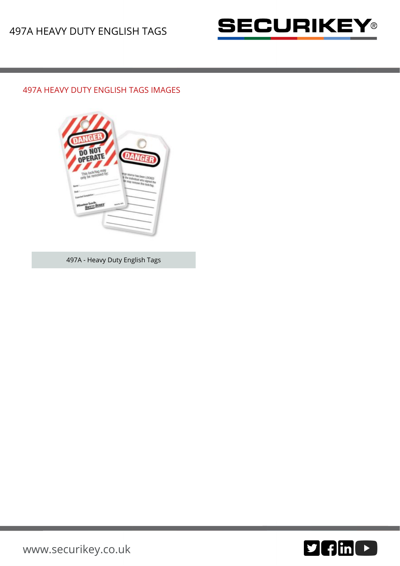

## 497A HEAVY DUTY ENGLISH TAGS IMAGES



497A - Heavy Duty English Tags